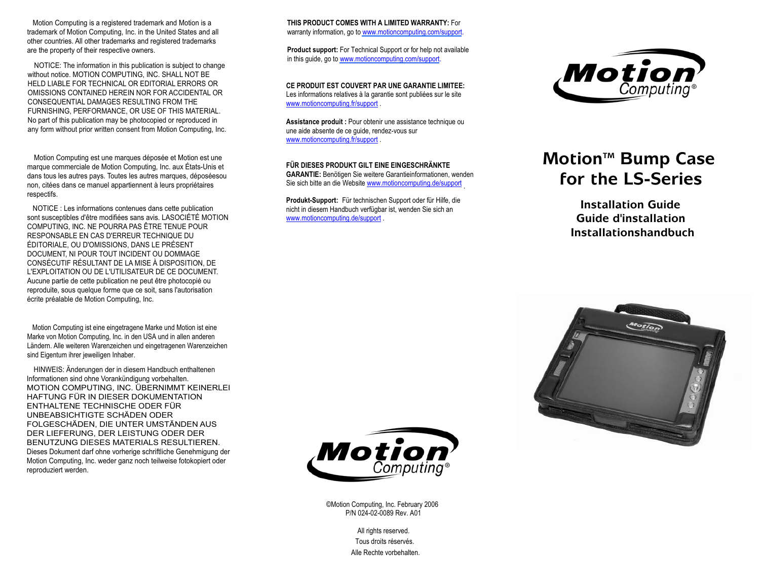Motion Computing is <sup>a</sup> registered trademark and Motion is <sup>a</sup> trademark of Motion Computing, Inc. in the United States and all other countries. All other trademarks and registered trademarks are the property of their respective owners.

NOTICE: The information in this publication is subject to change without notice. MOTION COMPUTING, INC. SHALL NOT BE HELD LIABLE FOR TECHNICAL OR EDITORIAL ERRORS OR OMISSIONS CONTAINED HEREIN NOR FOR ACCIDENTAL ORCONSEQUENTIAL DAMAGES RESULTING FROM THE FURNISHING, PERFORMANCE, OR USE OF THIS MATERIAL. No part of this publication may be photocopied or reproduced in any form without prior written consent from Motion Computing, Inc.

Motion Computing est une marques déposée et Motion est une marque commerciale de Motion Computing, Inc. aux États-Unis et dans tous les autres pays. Toutes les autres marques, déposéesou non, citées dans ce manuel appartiennent à leurs propriétaires respectifs.

NOTICE : Les informations contenues dans cette publication sont susceptibles d'être modifiées sans avis. LASOCIÉTÉ MOTION COMPUTING, INC. NE POURRA PAS ÊTRE TENUE POUR RESPONSABLE EN CAS D'ERREUR TECHNIQUE DUÉDITORIALE, OU D'OMISSIONS, DANS LE PRÉSENT DOCUMENT, NI POUR TOUT INCIDENT OU DOMMAGE CONSÉCUTIF RÉSULTANT DE LA MISE À DISPOSITION, DE L'EXPLOITATION OU DE L'UTILISATEUR DE CE DOCUMENT. Aucune partie de cette publication ne peut être photocopié ou reproduite, sous quelque forme que ce soit, sans l'autorisation écrite préalable de Motion Computing, Inc.

Motion Computing ist eine eingetragene Marke und Motion ist eine Marke von Motion Computing, Inc. in den USA und in allen anderen Ländern. Alle weiteren Warenzeichen und eingetragenen Warenzeichen sind Eigentum ihrer jeweiligen Inhaber.

HINWEIS: Änderungen der in diesem Handbuch enthaltenen Informationen sind ohne Vorankündigung vorbehalten. MOTION COMPUTING, INC. ÜBERNIMMT KEINERLEI HAFTUNG FÜR IN DIESER DOKUMENTATIONENTHALTENE TECHNISCHE ODER FÜRUNBEABSICHTIGTE SCHÄDEN ODERFOLGESCHÄDEN, DIE UNTER UMSTÄNDEN AUS DER LIEFERUNG, DER LEISTUNG ODER DER BENUTZUNG DIESES MATERIALS RESULTIEREN.Dieses Dokument darf ohne vorherige schriftliche Genehmigung der Motion Computing, Inc. weder ganz noch teilweise fotokopiert oder reproduziert werden.

**THIS PRODUCT COMES WITH A LIMITED WARRANTY:** For warranty information, go to www.motioncomputing.com/support.

**Product support:** For Technical Support or for help not available in this guide, go to www.motioncomputing.com/support.

**CE PRODUIT EST COUVERT PAR UNE GARANTIE LIMITEE:**Les informations relatives à la garantie sont publiées sur le site www.motioncomputing.fr/support .

**Assistance produit :** Pour obtenir une assistance technique ou une aide absente de ce guide, rendez-vous sur www.motioncomputing.fr/support .

## **FÜR DIESES PRODUKT GILT EINE EINGESCHRÄNKTE**

**GARANTIE:** Benötigen Sie weitere Garantieinformationen, wenden Sie sich bitte an die Website <u>www.motioncomputing.de/support</u>

**Produkt-Support:** Für technischen Support oder für Hilfe, die nicht in diesem Handbuch verfügbar ist, wenden Sie sich an www.motioncomputing.de/support .



## **MotionTM Bump Case for the LS-Series**

**Installation GuideGuide d'installationInstallationshandbuch**





©Motion Computing, Inc. February 2006 P/N 024-02-0089 Rev. A01

> Tous droits réservés.Alle Rechte vorbehalten.All rights reserved.